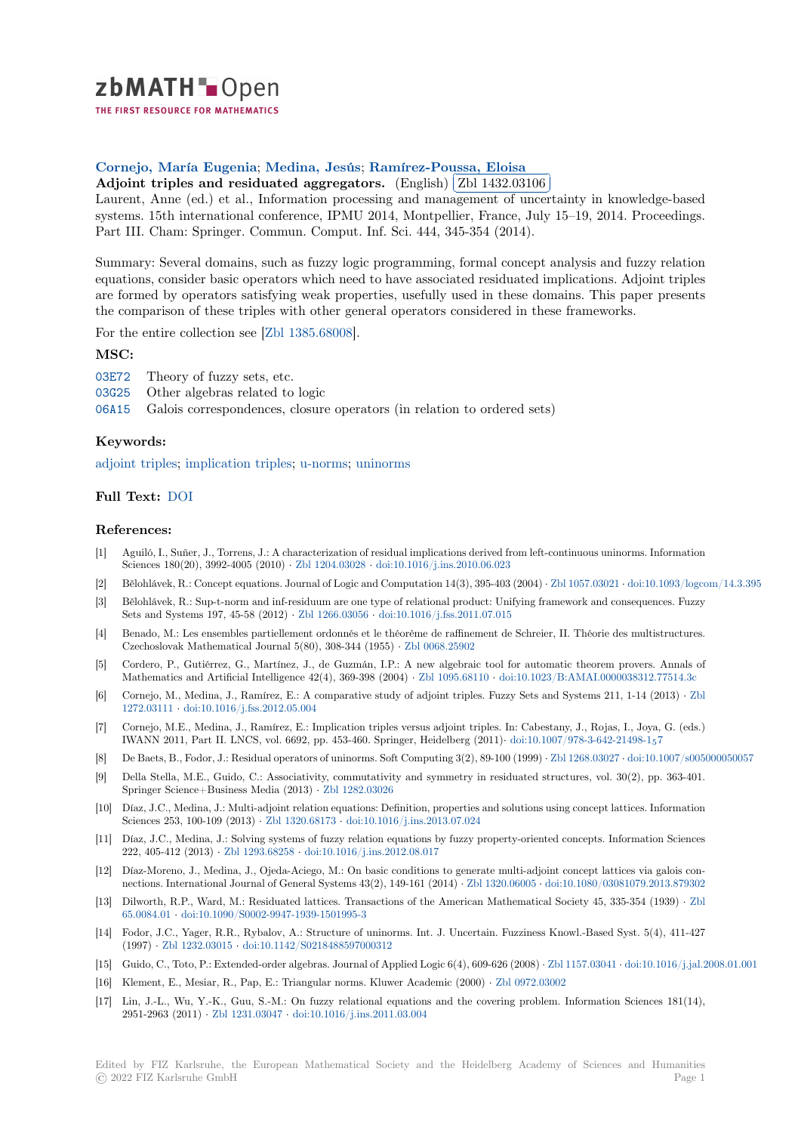

THE FIRST RESOURCE FOR MATHEMATICS

# **Cornejo, María Eugenia**; **Medina, Jesús**; **Ramírez-Poussa, Eloisa**

Lornejo, waria Eugenia; wiedlia, Jesus; Kanlifez-Foussa, <u>Eloisa</u><br>[A](https://zbmath.org/)djoint triples and residuated aggregators. (English) Zbl 1432.03106 Ĭ.

<sup>2</sup>Xelonic displays and residuated aggregators. (English) (2011-102.00100)<br>Laurent, Anne (ed.) et al., Information processing and management of uncertainty in knowledge-based systems. 15th international conference, IPMU 2014, Montpellier, France, July 15–19, 2014. Proceedings. [Part III. Cham: Springer. C](https://zbmath.org/authors/?q=ai:cornejo.maria-eugenia)[ommun. Comput.](https://zbmath.org/authors/?q=ai:medina.jesus) [Inf. Sci. 444, 345-354 \(2014](https://zbmath.org/authors/?q=ai:ramirez-poussa.eloisa)).

[Summary: Several domains, such as fuzzy logic pr](https://zbmath.org/1432.03106)ogramming[, formal concept a](https://zbmath.org/1432.03106)nalysis and fuzzy relation equations, consider basic operators which need to have associated residuated implications. Adjoint triples are formed by operators satisfying weak properties, usefully used in these domains. This paper presents the comparison of these triples with other general operators considered in these frameworks.

For the entire collection see [Zbl 1385.68008].

#### **MSC:**

- 03E72 Theory of fuzzy sets, etc.
- 03G25 Other algebras related to logic
- 06A15 Galois corresponden[ces, closure ope](https://zbmath.org/?q=an:1385.68008)rators (in relation to ordered sets)

### **[Keyw](https://zbmath.org/classification/?q=cc:03E72)ords:**

[adjoin](https://zbmath.org/classification/?q=cc:03G25)t triples; implication triples; u-norms; uninorms

## **Full Text:** DOI

#### **[References:](https://zbmath.org/?q=ut:adjoint+triples)**

- [1] Aguiló, I., Suñer, J., Torrens, J.: A characterization of residual implications derived from left-continuous uninorms. Information Sciences [180\(20](https://dx.doi.org/10.1007/978-3-319-08852-5_36)), 3992-4005 (2010) *·* Zbl 1204.03028 *·* doi:10.1016/j.ins.2010.06.023
- [2] Bělohlávek, R.: Concept equations. Journal of Logic and Computation 14(3), 395-403 (2004) *·* Zbl 1057.03021 *·* doi:10.1093/logcom/14.3.395
- [3] Bělohlávek, R.: Sup-t-norm and inf-residuum are one type of relational product: Unifying framework and consequences. Fuzzy Sets and Systems 197, 45-58 (2012) *·* Zbl 1266.03056 *·* doi:10.1016/j.fss.2011.07.015
- [4] Benado, M.: Les ensembles partielle[ment ordonnés e](https://zbmath.org/1204.03028)t [le théorème de raffinement de](https://dx.doi.org/10.1016/j.ins.2010.06.023) Schreier, II. Théorie des multistructures. Czechoslovak Mathematical Journal 5(80), 308-344 (1955) *·* Zbl 0068.25902
- [5] Cordero, P., Gutiérrez, G., Martínez, J., de Guzmán, I.P.: A new algebraic tool for automatic theorem provers. Annals of Mathematics and Artificial Intelligen[ce 42\(4\), 369-39](https://zbmath.org/1266.03056)8 (2004) *·* [Zbl 1095.68110](https://dx.doi.org/10.1016/j.fss.2011.07.015) *·* doi:10.1023/B:AMAI.0000038312.77514.3c
- [6] Cornejo, M., Medina, J., Ramírez, E.: A comparative study of adjoint triples. Fuzzy Sets and Systems 211, 1-14 (2013) *·* Zbl 1272.03111 *·* doi:10.1016/j.fss.2012.05.004
- [7] Cornejo, M.E., Medina, J., Ramírez, E.: Implication triples versus adjoint triples. In: Cabestany, J., Rojas, I., Joya, G. (eds.) IWANN 2011, Part II. LNCS, vol. 6692, pp. 453-460. Springer, [Heidelberg \(201](https://zbmath.org/1095.68110)1)*·* [doi:10.1007/978-3-642-21498-1](https://dx.doi.org/10.1023/B:AMAI.0000038312.77514.3c)57
- [8] De Baets, B., Fodor, J.: Residual operators of uninorms. Soft Computing 3(2), 89-100 (1999) *·* Zbl 1268.03027 *·* doi:10.1007/s[005](https://zbmath.org/1272.03111)000050057
- [9] [Della Stella](https://zbmath.org/1272.03111), [M.E., Guido, C.: Associativi](https://dx.doi.org/10.1016/j.fss.2012.05.004)ty, commutativity and symmetry in residuated structures, vol. 30(2), pp. 363-401. Springer Science+Business Media (2013) *·* Zbl 1282.03026
- [10] Díaz, J.C., Medina, J.: Multi-adjoint relation equations: Definition, properties ands[olutions using concept lattices. Info](https://dx.doi.org/10.1007/978-3-642-21498-1_57)rmation Sciences 253, 100-109 (2013) *·* Zbl 1320.68173 *·* doi:10.1016/j.ins.2013.07.024
- [11] Díaz, J.C., Medina, J.: Solving systems of fuzzy relation equations by fuzzy property-oriented concepts. Information Sciences 222, 405-412 (2013) *·* Zbl 1293.68258 *·* doi:[10.1016/j.ins.20](https://zbmath.org/1282.03026)12.08.017
- [12] Díaz-Moreno, J., Medina, J., Ojeda-Aciego, M.: On basic conditions to generate multi-adjoint concept lattices via galois connections. International Journal [of General Syst](https://zbmath.org/1320.68173)e[ms 43\(2\), 149-161 \(2014\)](https://dx.doi.org/10.1016/j.ins.2013.07.024) *·* Zbl 1320.06005 *·* doi:10.1080/03081079.2013.879302
- [13] Dilworth, R.P., Ward, M.: Residuated lattices. Transactions of the American Mathematical Society 45, 335-354 (1939) *·* Zbl 65.0084.01 *·* doi:10.10[90/S0002-9947-](https://zbmath.org/1293.68258)1[939-1501995-3](https://dx.doi.org/10.1016/j.ins.2012.08.017)
- [14] Fodor, J.C., Yager, R.R., Rybalov, A.: Structure of uninorms. Int. J. Uncertain. Fuzziness Knowl.-Based Syst. 5(4), 411-427 (1997) *·* Zbl 1232.03015 *·* doi:10.1142/S0218488597000312
- [15] Guido, C., Toto, P.: Extended-order algebras. Journal of Applied Logic 6(4), 609-626 (2008) *·* Zbl 1157.03041 *·* doi:10.1016/j.[jal.2](https://zbmath.org/65.0084.01)008.01.001
- [16] [Klement, E](https://zbmath.org/65.0084.01)., [Mesiar, R., Pap, E.: Triangular norms.](https://dx.doi.org/10.1090/S0002-9947-1939-1501995-3) Kluwer Academic (2000) *·* Zbl 0972.03002
- [17] Lin, J.-L., Wu, Y.-K., Guu, S.-M.: On fuzzy relational equations and the covering problem. Information Sciences 181(14), 2951-29[63 \(2011\)](https://zbmath.org/1232.03015) *·* Zbl 1231.03047 *·* [doi:10.1016/j.ins.2011](https://dx.doi.org/10.1142/S0218488597000312).03.004